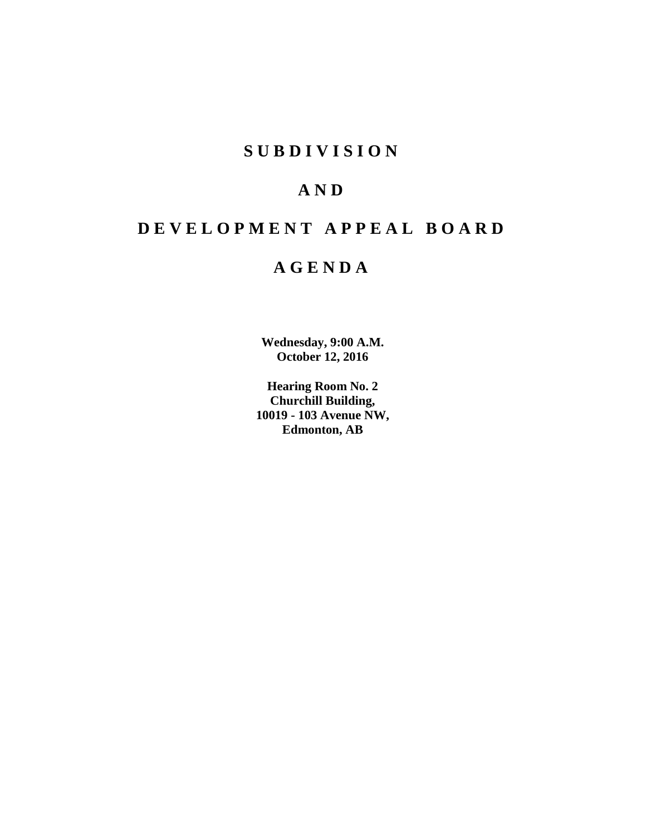# **SUBDIVISION**

# **AND**

# **DEVELOPMENT APPEAL BOARD**

# **AGENDA**

**Wednesday, 9:00 A.M. October 12, 2016**

**Hearing Room No. 2 Churchill Building, 10019 - 103 Avenue NW, Edmonton, AB**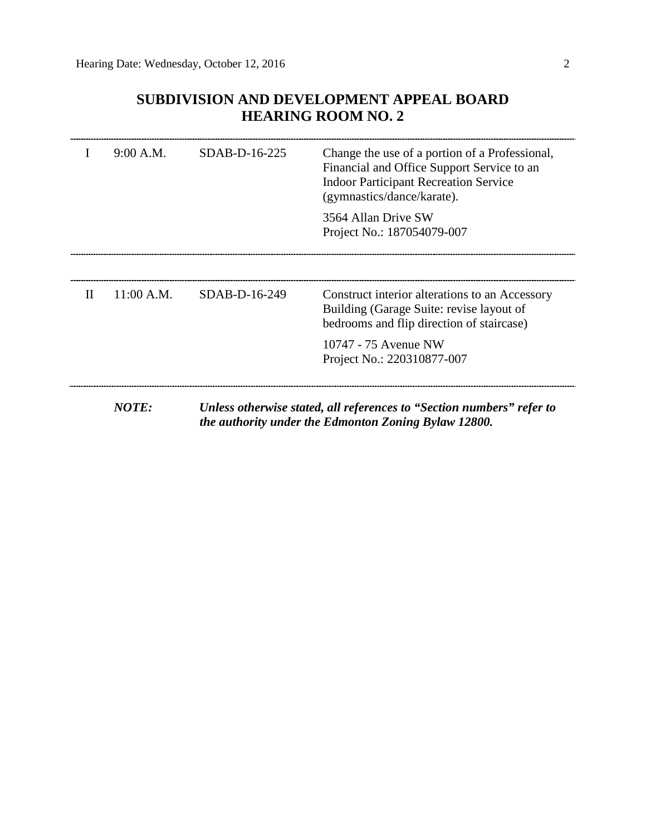### **SUBDIVISION AND DEVELOPMENT APPEAL BOARD HEARING ROOM NO. 2**

|   | 9:00 A.M.  | SDAB-D-16-225 | Change the use of a portion of a Professional,<br>Financial and Office Support Service to an<br><b>Indoor Participant Recreation Service</b><br>(gymnastics/dance/karate). |
|---|------------|---------------|----------------------------------------------------------------------------------------------------------------------------------------------------------------------------|
|   |            |               | 3564 Allan Drive SW<br>Project No.: 187054079-007                                                                                                                          |
|   |            |               |                                                                                                                                                                            |
| Н | 11:00 A.M. | SDAB-D-16-249 | Construct interior alterations to an Accessory<br>Building (Garage Suite: revise layout of<br>bedrooms and flip direction of staircase)                                    |
|   |            |               | 10747 - 75 Avenue NW<br>Project No.: 220310877-007                                                                                                                         |
|   | NOTE:      |               | Unless otherwise stated, all references to "Section numbers" refer to<br>the authority under the Edmonton Zoning Bylaw 12800.                                              |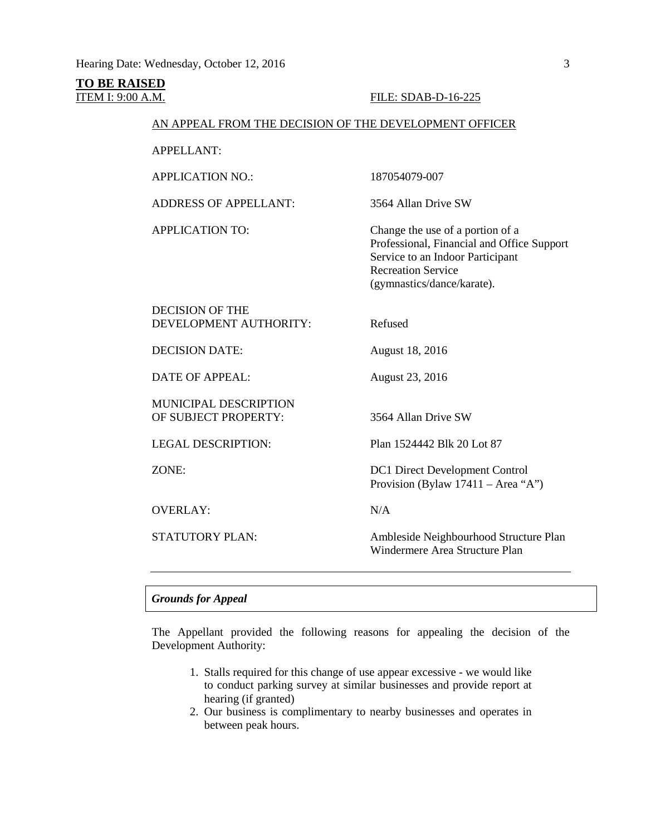### **TO BE RAISED**

#### **ITEM I: 9:00 A.M. FILE: SDAB-D-16-225**

#### AN APPEAL FROM THE DECISION OF THE DEVELOPMENT OFFICER

APPELLANT:

APPLICATION NO.: 187054079-007

ADDRESS OF APPELLANT: 3564 Allan Drive SW

APPLICATION TO: Change the use of a portion of a Professional, Financial and Office Support Service to an Indoor Participant Recreation Service (gymnastics/dance/karate).

DECISION OF THE DEVELOPMENT AUTHORITY: Refused

DECISION DATE: August 18, 2016

DATE OF APPEAL: August 23, 2016

MUNICIPAL DESCRIPTION OF SUBJECT PROPERTY: 3564 Allan Drive SW

OVERLAY: N/A

LEGAL DESCRIPTION: Plan 1524442 Blk 20 Lot 87

ZONE: DC1 Direct Development Control Provision (Bylaw 17411 – Area "A")

STATUTORY PLAN: Ambleside Neighbourhood Structure Plan Windermere Area Structure Plan

#### *Grounds for Appeal*

The Appellant provided the following reasons for appealing the decision of the Development Authority:

- 1. Stalls required for this change of use appear excessive we would like to conduct parking survey at similar businesses and provide report at hearing (if granted)
- 2. Our business is complimentary to nearby businesses and operates in between peak hours.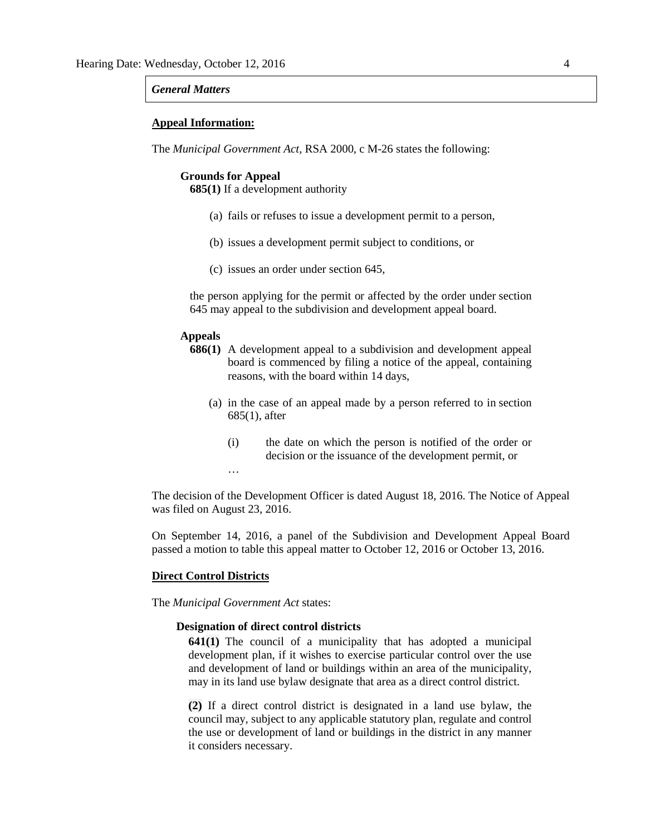#### *General Matters*

#### **Appeal Information:**

The *Municipal Government Act*, RSA 2000, c M-26 states the following:

#### **Grounds for Appeal**

**685(1)** If a development authority

- (a) fails or refuses to issue a development permit to a person,
- (b) issues a development permit subject to conditions, or
- (c) issues an order under section 645,

the person applying for the permit or affected by the order under section 645 may appeal to the subdivision and development appeal board.

#### **Appeals**

- **686(1)** A development appeal to a subdivision and development appeal board is commenced by filing a notice of the appeal, containing reasons, with the board within 14 days,
	- (a) in the case of an appeal made by a person referred to in section 685(1), after
		- (i) the date on which the person is notified of the order or decision or the issuance of the development permit, or …

The decision of the Development Officer is dated August 18, 2016. The Notice of Appeal was filed on August 23, 2016.

On September 14, 2016, a panel of the Subdivision and Development Appeal Board passed a motion to table this appeal matter to October 12, 2016 or October 13, 2016.

#### **Direct Control Districts**

The *Municipal Government Act* states:

#### **Designation of direct control districts**

**641(1)** The council of a municipality that has adopted a municipal development plan, if it wishes to exercise particular control over the use and development of land or buildings within an area of the municipality, may in its land use bylaw designate that area as a direct control district.

**(2)** If a direct control district is designated in a land use bylaw, the council may, subject to any applicable statutory plan, regulate and control the use or development of land or buildings in the district in any manner it considers necessary.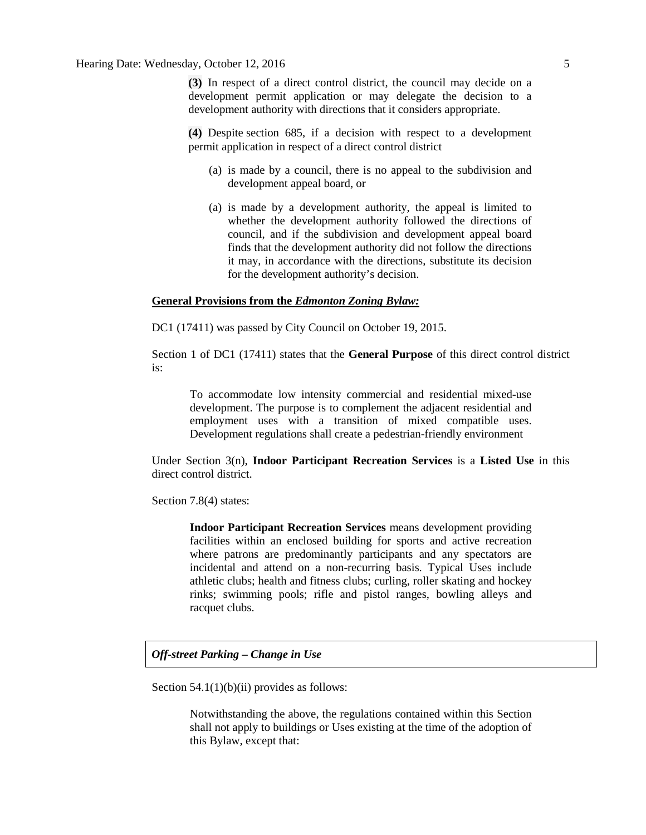Hearing Date: Wednesday, October 12, 2016 5

**(3)** In respect of a direct control district, the council may decide on a development permit application or may delegate the decision to a development authority with directions that it considers appropriate.

**(4)** Despite section 685, if a decision with respect to a development permit application in respect of a direct control district

- (a) is made by a council, there is no appeal to the subdivision and development appeal board, or
- (a) is made by a development authority, the appeal is limited to whether the development authority followed the directions of council, and if the subdivision and development appeal board finds that the development authority did not follow the directions it may, in accordance with the directions, substitute its decision for the development authority's decision.

#### **General Provisions from the** *Edmonton Zoning Bylaw:*

DC1 (17411) was passed by City Council on October 19, 2015.

Section 1 of DC1 (17411) states that the **General Purpose** of this direct control district is:

To accommodate low intensity commercial and residential mixed-use development. The purpose is to complement the adjacent residential and employment uses with a transition of mixed compatible uses. Development regulations shall create a pedestrian-friendly environment

Under Section 3(n), **Indoor Participant Recreation Services** is a **Listed Use** in this direct control district.

Section 7.8(4) states:

**Indoor Participant Recreation Services** means development providing facilities within an enclosed building for sports and active recreation where patrons are predominantly participants and any spectators are incidental and attend on a non-recurring basis. Typical Uses include athletic clubs; health and fitness clubs; curling, roller skating and hockey rinks; swimming pools; rifle and pistol ranges, bowling alleys and racquet clubs.

#### *Off-street Parking – Change in Use*

Section  $54.1(1)(b)(ii)$  provides as follows:

Notwithstanding the above, the regulations contained within this Section shall not apply to buildings or Uses existing at the time of the adoption of this Bylaw, except that: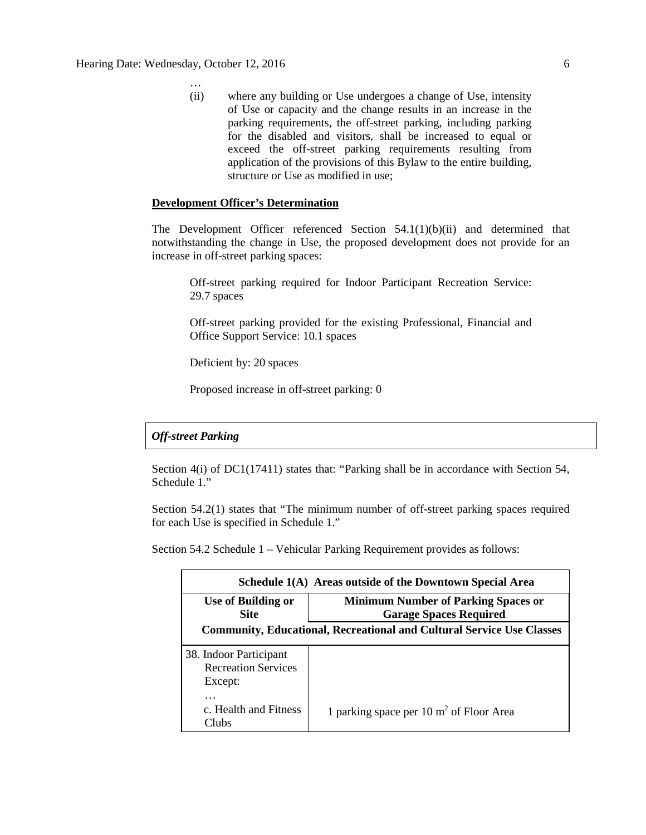…

(ii) where any building or Use undergoes a change of Use, intensity of Use or capacity and the change results in an increase in the parking requirements, the off-street parking, including parking for the disabled and visitors, shall be increased to equal or exceed the off-street parking requirements resulting from application of the provisions of this Bylaw to the entire building, structure or Use as modified in use;

#### **Development Officer's Determination**

The Development Officer referenced Section  $54.1(1)(b)(ii)$  and determined that notwithstanding the change in Use, the proposed development does not provide for an increase in off-street parking spaces:

Off-street parking required for Indoor Participant Recreation Service: 29.7 spaces

Off-street parking provided for the existing Professional, Financial and Office Support Service: 10.1 spaces

Deficient by: 20 spaces

Proposed increase in off-street parking: 0

#### *Off-street Parking*

Section 4(i) of DC1(17411) states that: "Parking shall be in accordance with Section 54, Schedule 1."

Section 54.2(1) states that "The minimum number of off-street parking spaces required for each Use is specified in Schedule 1."

Section 54.2 Schedule 1 – Vehicular Parking Requirement provides as follows:

| Schedule 1(A) Areas outside of the Downtown Special Area                     |                                                                             |  |  |  |
|------------------------------------------------------------------------------|-----------------------------------------------------------------------------|--|--|--|
| Use of Building or<br><b>Site</b>                                            | <b>Minimum Number of Parking Spaces or</b><br><b>Garage Spaces Required</b> |  |  |  |
| <b>Community, Educational, Recreational and Cultural Service Use Classes</b> |                                                                             |  |  |  |
| 38. Indoor Participant<br><b>Recreation Services</b><br>Except:              |                                                                             |  |  |  |
| $\cdots$<br>c. Health and Fitness<br>Clubs                                   | 1 parking space per $10 \text{ m}^2$ of Floor Area                          |  |  |  |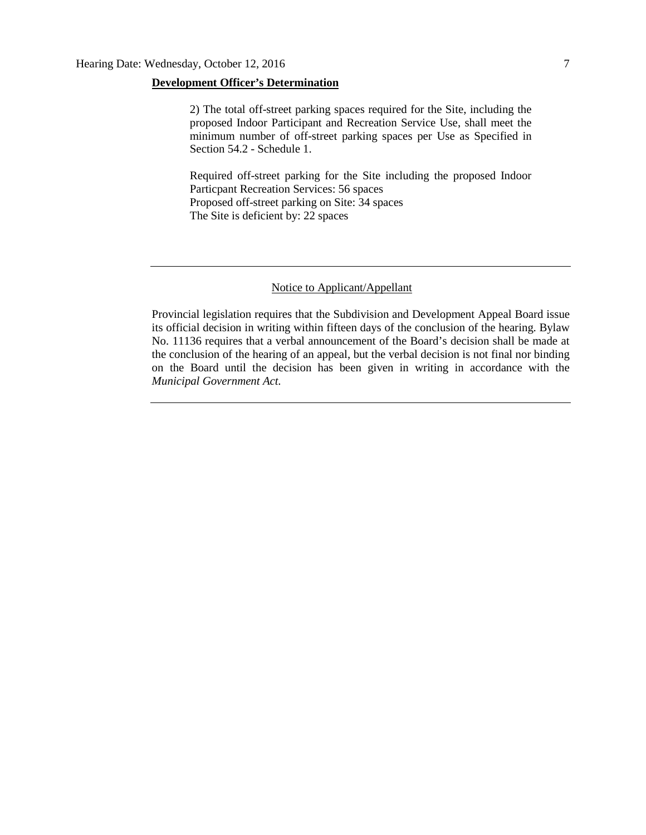#### **Development Officer's Determination**

2) The total off-street parking spaces required for the Site, including the proposed Indoor Participant and Recreation Service Use, shall meet the minimum number of off-street parking spaces per Use as Specified in Section 54.2 - Schedule 1.

Required off-street parking for the Site including the proposed Indoor Particpant Recreation Services: 56 spaces Proposed off-street parking on Site: 34 spaces The Site is deficient by: 22 spaces

#### Notice to Applicant/Appellant

Provincial legislation requires that the Subdivision and Development Appeal Board issue its official decision in writing within fifteen days of the conclusion of the hearing. Bylaw No. 11136 requires that a verbal announcement of the Board's decision shall be made at the conclusion of the hearing of an appeal, but the verbal decision is not final nor binding on the Board until the decision has been given in writing in accordance with the *Municipal Government Act.*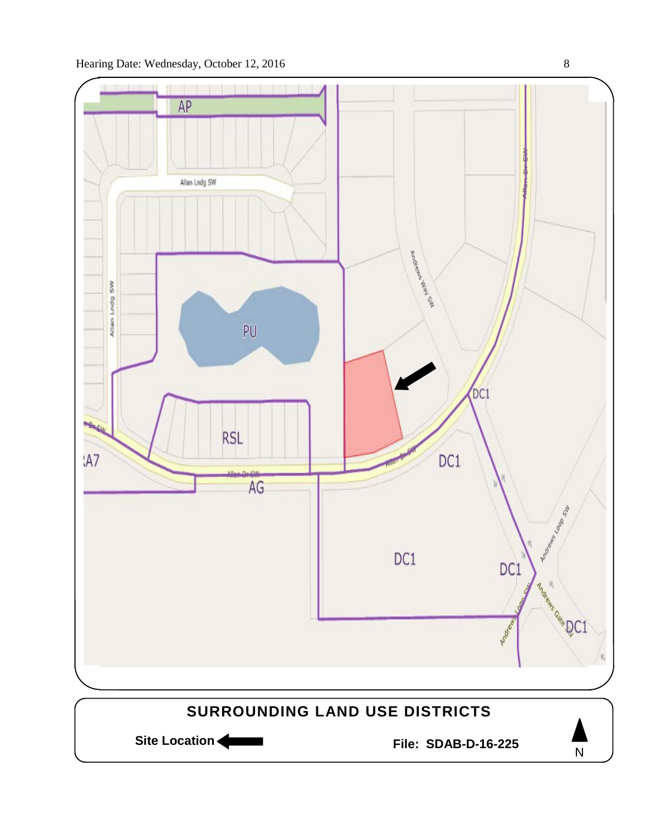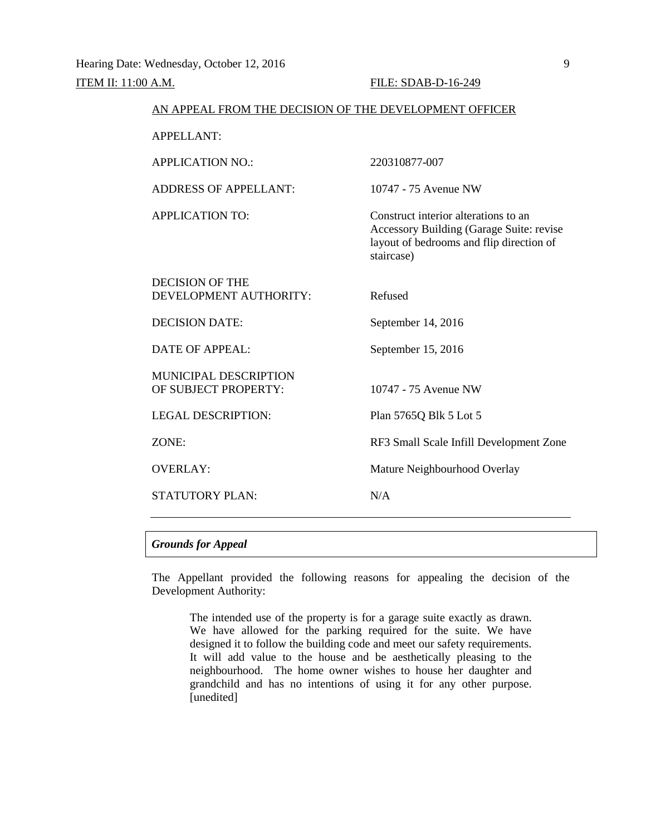| AN APPEAL FROM THE DECISION OF THE DEVELOPMENT OFFICER |                                                                                                                                            |
|--------------------------------------------------------|--------------------------------------------------------------------------------------------------------------------------------------------|
| <b>APPELLANT:</b>                                      |                                                                                                                                            |
| <b>APPLICATION NO.:</b>                                | 220310877-007                                                                                                                              |
| <b>ADDRESS OF APPELLANT:</b>                           | 10747 - 75 Avenue NW                                                                                                                       |
| <b>APPLICATION TO:</b>                                 | Construct interior alterations to an<br>Accessory Building (Garage Suite: revise<br>layout of bedrooms and flip direction of<br>staircase) |
| <b>DECISION OF THE</b><br>DEVELOPMENT AUTHORITY:       | Refused                                                                                                                                    |
| <b>DECISION DATE:</b>                                  | September 14, 2016                                                                                                                         |
| <b>DATE OF APPEAL:</b>                                 | September 15, 2016                                                                                                                         |
| <b>MUNICIPAL DESCRIPTION</b><br>OF SUBJECT PROPERTY:   | 10747 - 75 Avenue NW                                                                                                                       |
| <b>LEGAL DESCRIPTION:</b>                              | Plan 5765Q Blk 5 Lot 5                                                                                                                     |
| ZONE:                                                  | RF3 Small Scale Infill Development Zone                                                                                                    |
| <b>OVERLAY:</b>                                        | Mature Neighbourhood Overlay                                                                                                               |
| <b>STATUTORY PLAN:</b>                                 | N/A                                                                                                                                        |
|                                                        |                                                                                                                                            |

#### *Grounds for Appeal*

The Appellant provided the following reasons for appealing the decision of the Development Authority:

The intended use of the property is for a garage suite exactly as drawn. We have allowed for the parking required for the suite. We have designed it to follow the building code and meet our safety requirements. It will add value to the house and be aesthetically pleasing to the neighbourhood. The home owner wishes to house her daughter and grandchild and has no intentions of using it for any other purpose. [unedited]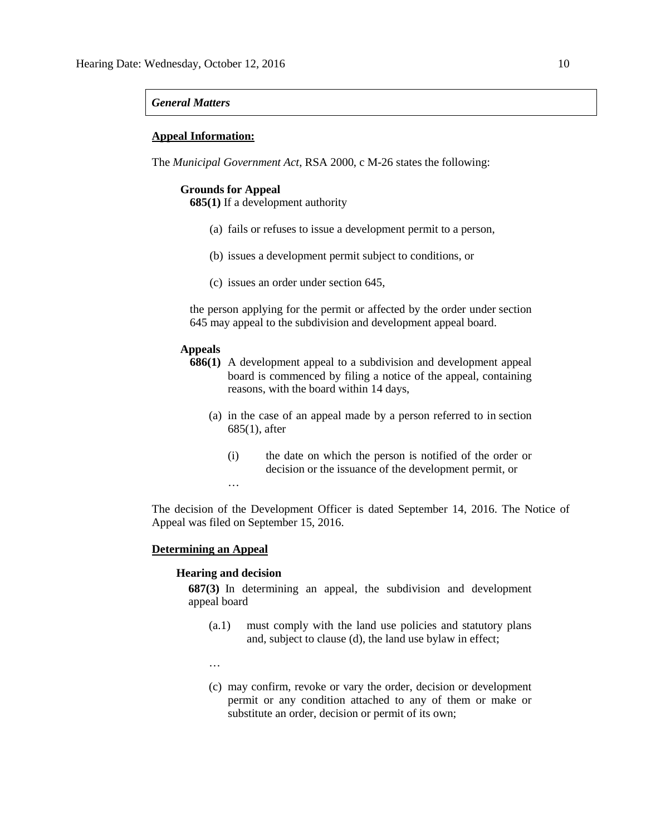#### *General Matters*

#### **Appeal Information:**

The *Municipal Government Act*, RSA 2000, c M-26 states the following:

#### **Grounds for Appeal**

**685(1)** If a development authority

- (a) fails or refuses to issue a development permit to a person,
- (b) issues a development permit subject to conditions, or
- (c) issues an order under section 645,

the person applying for the permit or affected by the order under section 645 may appeal to the subdivision and development appeal board.

#### **Appeals**

- **686(1)** A development appeal to a subdivision and development appeal board is commenced by filing a notice of the appeal, containing reasons, with the board within 14 days,
	- (a) in the case of an appeal made by a person referred to in section 685(1), after
		- (i) the date on which the person is notified of the order or decision or the issuance of the development permit, or

The decision of the Development Officer is dated September 14, 2016. The Notice of Appeal was filed on September 15, 2016.

#### **Determining an Appeal**

#### **Hearing and decision**

…

**687(3)** In determining an appeal, the subdivision and development appeal board

- (a.1) must comply with the land use policies and statutory plans and, subject to clause (d), the land use bylaw in effect;
- …
- (c) may confirm, revoke or vary the order, decision or development permit or any condition attached to any of them or make or substitute an order, decision or permit of its own;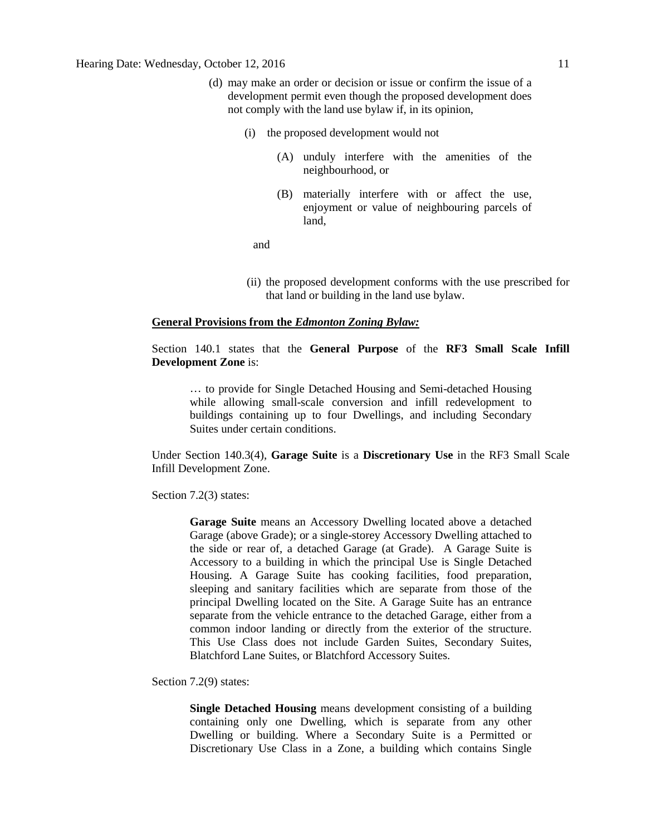- (d) may make an order or decision or issue or confirm the issue of a development permit even though the proposed development does not comply with the land use bylaw if, in its opinion,
	- (i) the proposed development would not
		- (A) unduly interfere with the amenities of the neighbourhood, or
		- (B) materially interfere with or affect the use, enjoyment or value of neighbouring parcels of land,

and

(ii) the proposed development conforms with the use prescribed for that land or building in the land use bylaw.

#### **General Provisions from the** *Edmonton Zoning Bylaw:*

Section 140.1 states that the **General Purpose** of the **RF3 Small Scale Infill Development Zone** is:

… to provide for Single Detached Housing and Semi-detached Housing while allowing small-scale conversion and infill redevelopment to buildings containing up to four Dwellings, and including Secondary Suites under certain conditions.

Under Section 140.3(4), **Garage Suite** is a **Discretionary Use** in the RF3 Small Scale Infill Development Zone.

Section 7.2(3) states:

**Garage Suite** means an Accessory Dwelling located above a detached Garage (above Grade); or a single-storey Accessory Dwelling attached to the side or rear of, a detached Garage (at Grade). A Garage Suite is Accessory to a building in which the principal Use is Single Detached Housing. A Garage Suite has cooking facilities, food preparation, sleeping and sanitary facilities which are separate from those of the principal Dwelling located on the Site. A Garage Suite has an entrance separate from the vehicle entrance to the detached Garage, either from a common indoor landing or directly from the exterior of the structure. This Use Class does not include Garden Suites, Secondary Suites, Blatchford Lane Suites, or Blatchford Accessory Suites.

Section 7.2(9) states:

**Single Detached Housing** means development consisting of a building containing only one Dwelling, which is separate from any other Dwelling or building. Where a Secondary Suite is a Permitted or Discretionary Use Class in a Zone, a building which contains Single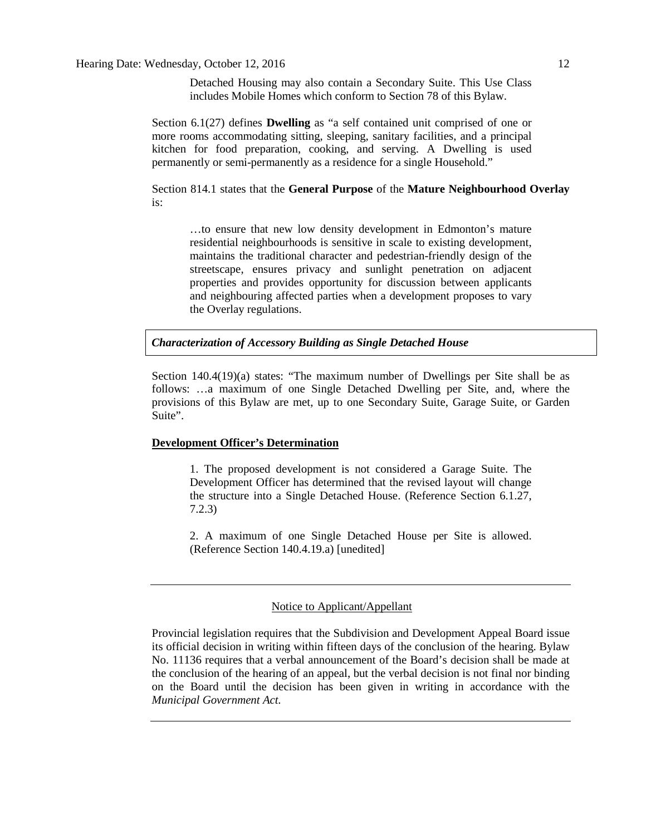Section 6.1(27) defines **Dwelling** as "a self contained unit comprised of one or more rooms accommodating sitting, sleeping, sanitary facilities, and a principal kitchen for food preparation, cooking, and serving. A Dwelling is used permanently or semi-permanently as a residence for a single Household."

Section 814.1 states that the **General Purpose** of the **Mature Neighbourhood Overlay** is:

…to ensure that new low density development in Edmonton's mature residential neighbourhoods is sensitive in scale to existing development, maintains the traditional character and pedestrian-friendly design of the streetscape, ensures privacy and sunlight penetration on adjacent properties and provides opportunity for discussion between applicants and neighbouring affected parties when a development proposes to vary the Overlay regulations.

*Characterization of Accessory Building as Single Detached House*

Section 140.4(19)(a) states: "The maximum number of Dwellings per Site shall be as follows: …a maximum of one Single Detached Dwelling per Site, and, where the provisions of this Bylaw are met, up to one Secondary Suite, Garage Suite, or Garden Suite".

#### **Development Officer's Determination**

1. The proposed development is not considered a Garage Suite. The Development Officer has determined that the revised layout will change the structure into a Single Detached House. (Reference Section 6.1.27, 7.2.3)

2. A maximum of one Single Detached House per Site is allowed. (Reference Section 140.4.19.a) [unedited]

#### Notice to Applicant/Appellant

Provincial legislation requires that the Subdivision and Development Appeal Board issue its official decision in writing within fifteen days of the conclusion of the hearing. Bylaw No. 11136 requires that a verbal announcement of the Board's decision shall be made at the conclusion of the hearing of an appeal, but the verbal decision is not final nor binding on the Board until the decision has been given in writing in accordance with the *Municipal Government Act.*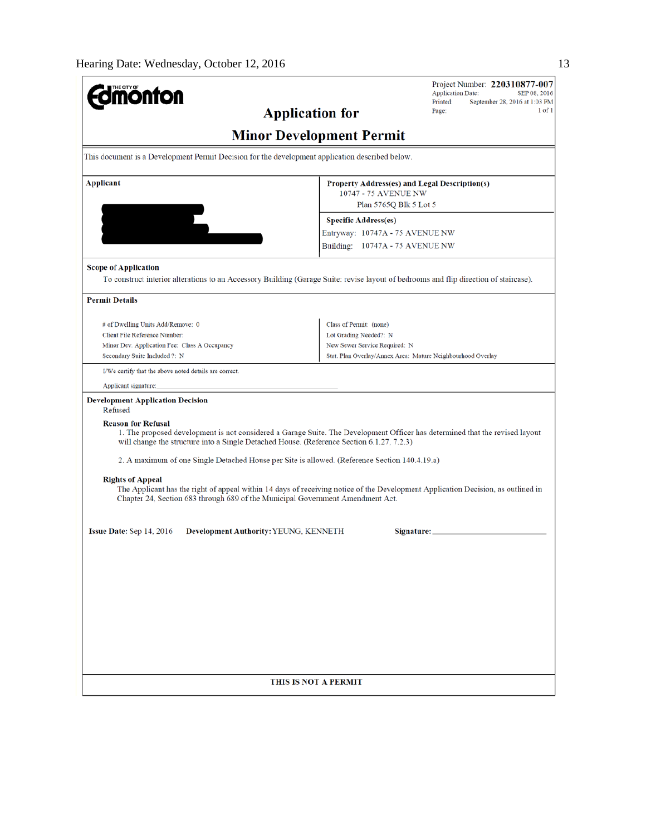| THE CITY OF                                                                                                                                                                                                                                                                                                  |                                                                                                 | Project Number: 220310877-007<br><b>Application Date:</b><br>SEP 08, 2016<br>Printed:<br>September 28, 2016 at 1:03 PM |  |  |
|--------------------------------------------------------------------------------------------------------------------------------------------------------------------------------------------------------------------------------------------------------------------------------------------------------------|-------------------------------------------------------------------------------------------------|------------------------------------------------------------------------------------------------------------------------|--|--|
| <b>Application for</b>                                                                                                                                                                                                                                                                                       |                                                                                                 | $1$ of $1$<br>Page:                                                                                                    |  |  |
|                                                                                                                                                                                                                                                                                                              | <b>Minor Development Permit</b>                                                                 |                                                                                                                        |  |  |
|                                                                                                                                                                                                                                                                                                              | This document is a Development Permit Decision for the development application described below. |                                                                                                                        |  |  |
| <b>Applicant</b>                                                                                                                                                                                                                                                                                             | Property Address(es) and Legal Description(s)<br>10747 - 75 AVENUE NW                           |                                                                                                                        |  |  |
|                                                                                                                                                                                                                                                                                                              | Plan 5765Q Blk 5 Lot 5                                                                          |                                                                                                                        |  |  |
|                                                                                                                                                                                                                                                                                                              | <b>Specific Address(es)</b>                                                                     |                                                                                                                        |  |  |
|                                                                                                                                                                                                                                                                                                              | Entryway: 10747A - 75 AVENUE NW                                                                 |                                                                                                                        |  |  |
|                                                                                                                                                                                                                                                                                                              | Building: 10747A - 75 AVENUE NW                                                                 |                                                                                                                        |  |  |
| <b>Scope of Application</b><br>To construct interior alterations to an Accessory Building (Garage Suite: revise layout of bedrooms and flip direction of staircase).                                                                                                                                         |                                                                                                 |                                                                                                                        |  |  |
| <b>Permit Details</b>                                                                                                                                                                                                                                                                                        |                                                                                                 |                                                                                                                        |  |  |
| # of Dwelling Units Add/Remove: 0                                                                                                                                                                                                                                                                            | Class of Permit: (none)                                                                         |                                                                                                                        |  |  |
| Client File Reference Number:                                                                                                                                                                                                                                                                                | Lot Grading Needed?: N                                                                          |                                                                                                                        |  |  |
| Minor Dev. Application Fee: Class A Occupancy<br>Secondary Suite Included ?: N                                                                                                                                                                                                                               | New Sewer Service Required: N<br>Stat. Plan Overlay/Annex Area: Mature Neighbourhood Overlay    |                                                                                                                        |  |  |
| I/We certify that the above noted details are correct.                                                                                                                                                                                                                                                       |                                                                                                 |                                                                                                                        |  |  |
| Applicant signature:                                                                                                                                                                                                                                                                                         |                                                                                                 |                                                                                                                        |  |  |
| <b>Development Application Decision</b><br>Refused<br><b>Reason for Refusal</b><br>1. The proposed development is not considered a Garage Suite. The Development Officer has determined that the revised layout<br>will change the structure into a Single Detached House. (Reference Section 6.1.27, 7.2.3) |                                                                                                 |                                                                                                                        |  |  |
| 2. A maximum of one Single Detached House per Site is allowed. (Reference Section 140.4.19.a)                                                                                                                                                                                                                |                                                                                                 |                                                                                                                        |  |  |
| <b>Rights of Appeal</b><br>The Applicant has the right of appeal within 14 days of receiving notice of the Development Application Decision, as outlined in<br>Chapter 24, Section 683 through 689 of the Municipal Government Amendment Act.                                                                |                                                                                                 |                                                                                                                        |  |  |
| <b>Issue Date:</b> Sep $14, 2016$<br><b>Development Authority: YEUNG, KENNETH</b>                                                                                                                                                                                                                            | Signature:                                                                                      |                                                                                                                        |  |  |
|                                                                                                                                                                                                                                                                                                              |                                                                                                 |                                                                                                                        |  |  |
|                                                                                                                                                                                                                                                                                                              |                                                                                                 |                                                                                                                        |  |  |
|                                                                                                                                                                                                                                                                                                              |                                                                                                 |                                                                                                                        |  |  |
|                                                                                                                                                                                                                                                                                                              |                                                                                                 |                                                                                                                        |  |  |
|                                                                                                                                                                                                                                                                                                              |                                                                                                 |                                                                                                                        |  |  |
|                                                                                                                                                                                                                                                                                                              |                                                                                                 |                                                                                                                        |  |  |
|                                                                                                                                                                                                                                                                                                              |                                                                                                 |                                                                                                                        |  |  |
|                                                                                                                                                                                                                                                                                                              |                                                                                                 |                                                                                                                        |  |  |
| <b>THIS IS NOT A PERMIT</b>                                                                                                                                                                                                                                                                                  |                                                                                                 |                                                                                                                        |  |  |
|                                                                                                                                                                                                                                                                                                              |                                                                                                 |                                                                                                                        |  |  |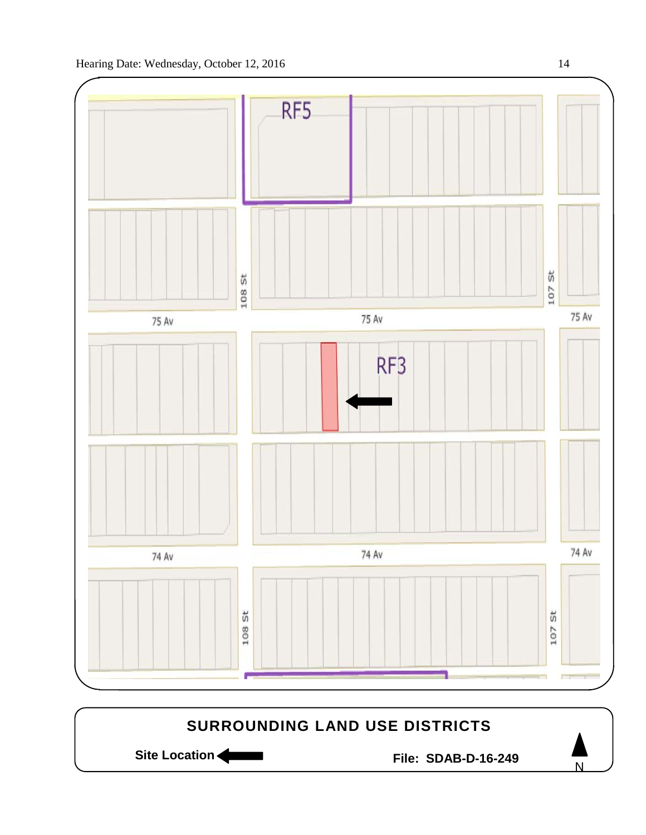